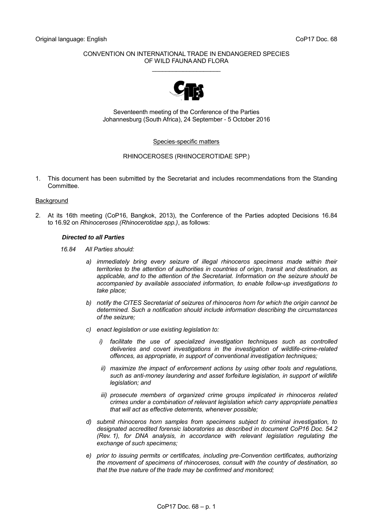#### CONVENTION ON INTERNATIONAL TRADE IN ENDANGERED SPECIES OF WILD FAUNA AND FLORA \_\_\_\_\_\_\_\_\_\_\_\_\_\_\_\_\_\_\_\_



Seventeenth meeting of the Conference of the Parties Johannesburg (South Africa), 24 September - 5 October 2016

#### Species-specific matters

#### RHINOCEROSES (RHINOCEROTIDAE SPP.)

1. This document has been submitted by the Secretariat and includes recommendations from the Standing Committee.

#### **Background**

2. At its 16th meeting (CoP16, Bangkok, 2013), the Conference of the Parties adopted Decisions 16.84 to 16.92 on *Rhinoceroses (Rhinocerotidae spp.)*, as follows:

#### *Directed to all Parties*

*16.84 All Parties should:*

- *a) immediately bring every seizure of illegal rhinoceros specimens made within their territories to the attention of authorities in countries of origin, transit and destination, as applicable, and to the attention of the Secretariat. Information on the seizure should be accompanied by available associated information, to enable follow-up investigations to take place;*
- *b) notify the CITES Secretariat of seizures of rhinoceros horn for which the origin cannot be determined. Such a notification should include information describing the circumstances of the seizure;*
- *c) enact legislation or use existing legislation to:*
	- *i*) facilitate the use of specialized investigation techniques such as controlled *deliveries and covert investigations in the investigation of wildlife-crime-related offences, as appropriate, in support of conventional investigation techniques;*
	- *ii) maximize the impact of enforcement actions by using other tools and regulations, such as anti-money laundering and asset forfeiture legislation, in support of wildlife legislation; and*
	- *iii) prosecute members of organized crime groups implicated in rhinoceros related crimes under a combination of relevant legislation which carry appropriate penalties that will act as effective deterrents, whenever possible;*
- *d) submit rhinoceros horn samples from specimens subject to criminal investigation, to designated accredited forensic laboratories as described in document CoP16 Doc. 54.2 (Rev. 1), for DNA analysis, in accordance with relevant legislation regulating the exchange of such specimens;*
- *e) prior to issuing permits or certificates, including pre-Convention certificates, authorizing the movement of specimens of rhinoceroses, consult with the country of destination, so that the true nature of the trade may be confirmed and monitored;*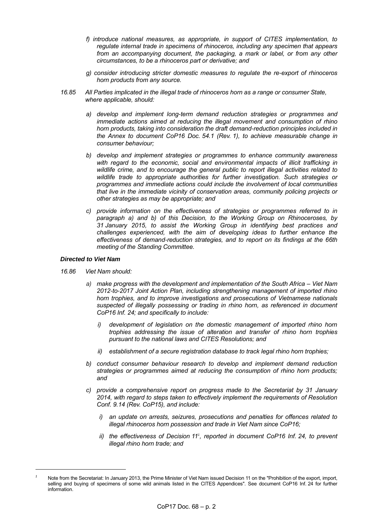- *f) introduce national measures, as appropriate, in support of CITES implementation, to regulate internal trade in specimens of rhinoceros, including any specimen that appears from an accompanying document, the packaging, a mark or label, or from any other circumstances, to be a rhinoceros part or derivative; and*
- *g) consider introducing stricter domestic measures to regulate the re-export of rhinoceros horn products from any source.*
- *16.85 All Parties implicated in the illegal trade of rhinoceros horn as a range or consumer State, where applicable, should:*
	- *a) develop and implement long-term demand reduction strategies or programmes and immediate actions aimed at reducing the illegal movement and consumption of rhino horn products, taking into consideration the draft demand-reduction principles included in the Annex to document CoP16 Doc. 54.1 (Rev. 1), to achieve measurable change in consumer behaviour;*
	- *b) develop and implement strategies or programmes to enhance community awareness with regard to the economic, social and environmental impacts of illicit trafficking in wildlife crime, and to encourage the general public to report illegal activities related to wildlife trade to appropriate authorities for further investigation. Such strategies or programmes and immediate actions could include the involvement of local communities that live in the immediate vicinity of conservation areas, community policing projects or other strategies as may be appropriate; and*
	- *c) provide information on the effectiveness of strategies or programmes referred to in paragraph a) and b) of this Decision, to the Working Group on Rhinoceroses, by 31 January 2015, to assist the Working Group in identifying best practices and challenges experienced, with the aim of developing ideas to further enhance the effectiveness of demand-reduction strategies, and to report on its findings at the 66th meeting of the Standing Committee.*

#### *Directed to Viet Nam*

- *16.86 Viet Nam should:*
	- *a) make progress with the development and implementation of the South Africa – Viet Nam 2012-to-2017 Joint Action Plan, including strengthening management of imported rhino horn trophies, and to improve investigations and prosecutions of Vietnamese nationals suspected of illegally possessing or trading in rhino horn, as referenced in document CoP16 Inf. 24; and specifically to include:*
		- *i) development of legislation on the domestic management of imported rhino horn trophies addressing the issue of alteration and transfer of rhino horn trophies pursuant to the national laws and CITES Resolutions; and*
		- *ii) establishment of a secure registration database to track legal rhino horn trophies;*
	- *b) conduct consumer behaviour research to develop and implement demand reduction strategies or programmes aimed at reducing the consumption of rhino horn products; and*
	- *c) provide a comprehensive report on progress made to the Secretariat by 31 January 2014, with regard to steps taken to effectively implement the requirements of Resolution Conf. 9.14 (Rev. CoP15), and include:* 
		- *i) an update on arrests, seizures, prosecutions and penalties for offences related to illegal rhinoceros horn possession and trade in Viet Nam since CoP16;*
		- ii) the effectiveness of Decision 11<sup>1</sup>, reported in document CoP16 Inf. 24, to prevent *illegal rhino horn trade; and*

*<sup>1</sup>* Note from the Secretariat: In January 2013, the Prime Minister of Viet Nam issued Decision 11 on the "Prohibition of the export, import, selling and buying of specimens of some wild animals listed in the CITES Appendices". See [document CoP16 Inf.](http://www.cites.org/eng/cop/16/inf/E-CoP16i-24.pdf) 24 for further information.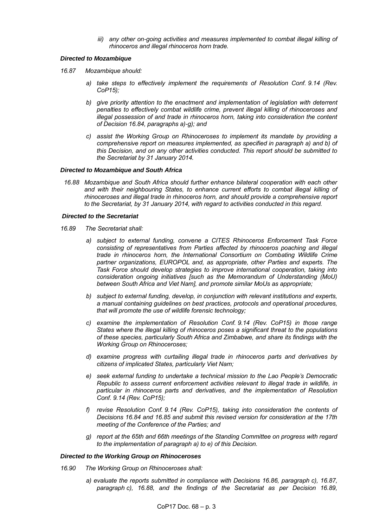*iii) any other on-going activities and measures implemented to combat illegal killing of rhinoceros and illegal rhinoceros horn trade.*

#### *Directed to Mozambique*

- *16.87 Mozambique should:*
	- *a) take steps to effectively implement the requirements of Resolution Conf. 9.14 (Rev. CoP15);*
	- *b) give priority attention to the enactment and implementation of legislation with deterrent penalties to effectively combat wildlife crime, prevent illegal killing of rhinoceroses and illegal possession of and trade in rhinoceros horn, taking into consideration the content of Decision 16.84, paragraphs a)-g); and*
	- *c) assist the Working Group on Rhinoceroses to implement its mandate by providing a comprehensive report on measures implemented, as specified in paragraph a) and b) of this Decision, and on any other activities conducted. This report should be submitted to the Secretariat by 31 January 2014.*

#### *Directed to Mozambique and South Africa*

*16.88 Mozambique and South Africa should further enhance bilateral cooperation with each other and with their neighbouring States, to enhance current efforts to combat illegal killing of rhinoceroses and illegal trade in rhinoceros horn, and should provide a comprehensive report to the Secretariat, by 31 January 2014, with regard to activities conducted in this regard.* 

#### *Directed to the Secretariat*

- *16.89 The Secretariat shall:* 
	- *a) subject to external funding, convene a CITES Rhinoceros Enforcement Task Force consisting of representatives from Parties affected by rhinoceros poaching and illegal trade in rhinoceros horn, the International Consortium on Combating Wildlife Crime partner organizations, EUROPOL and, as appropriate, other Parties and experts. The Task Force should develop strategies to improve international cooperation, taking into consideration ongoing initiatives [such as the Memorandum of Understanding (MoU) between South Africa and Viet Nam], and promote similar MoUs as appropriate;*
	- *b) subject to external funding, develop, in conjunction with relevant institutions and experts, a manual containing guidelines on best practices, protocols and operational procedures, that will promote the use of wildlife forensic technology;*
	- *c) examine the implementation of Resolution Conf. 9.14 (Rev. CoP15) in those range States where the illegal killing of rhinoceros poses a significant threat to the populations of these species, particularly South Africa and Zimbabwe, and share its findings with the Working Group on Rhinoceroses;*
	- *d) examine progress with curtailing illegal trade in rhinoceros parts and derivatives by citizens of implicated States, particularly Viet Nam;*
	- *e) seek external funding to undertake a technical mission to the Lao People's Democratic Republic to assess current enforcement activities relevant to illegal trade in wildlife, in particular in rhinoceros parts and derivatives, and the implementation of Resolution Conf. 9.14 (Rev. CoP15);*
	- *f) revise Resolution Conf. 9.14 (Rev. CoP15), taking into consideration the contents of Decisions 16.84 and 16.85 and submit this revised version for consideration at the 17th meeting of the Conference of the Parties; and*
	- *g) report at the 65th and 66th meetings of the Standing Committee on progress with regard to the implementation of paragraph a) to e) of this Decision.*

#### *Directed to the Working Group on Rhinoceroses*

- *16.90 The Working Group on Rhinoceroses shall:*
	- *a) evaluate the reports submitted in compliance with Decisions 16.86, paragraph c), 16.87, paragraph c), 16.88, and the findings of the Secretariat as per Decision 16.89,*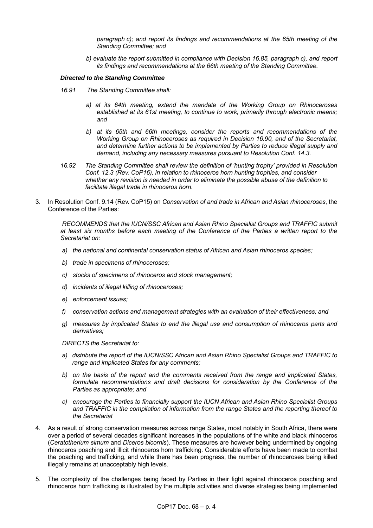*paragraph c); and report its findings and recommendations at the 65th meeting of the Standing Committee; and*

*b) evaluate the report submitted in compliance with Decision 16.85, paragraph c), and report its findings and recommendations at the 66th meeting of the Standing Committee.*

#### *Directed to the Standing Committee*

- *16.91 The Standing Committee shall:*
	- *a) at its 64th meeting, extend the mandate of the Working Group on Rhinoceroses established at its 61st meeting, to continue to work, primarily through electronic means; and*
	- *b) at its 65th and 66th meetings, consider the reports and recommendations of the Working Group on Rhinoceroses as required in Decision 16.90, and of the Secretariat, and determine further actions to be implemented by Parties to reduce illegal supply and demand, including any necessary measures pursuant to Resolution Conf. 14.3.*
- *16.92 The Standing Committee shall review the definition of 'hunting trophy' provided in Resolution Conf. 12.3 (Rev. CoP16), in relation to rhinoceros horn hunting trophies, and consider whether any revision is needed in order to eliminate the possible abuse of the definition to facilitate illegal trade in rhinoceros horn.*
- 3. In Resolution Conf. 9.14 (Rev. CoP15) on *Conservation of and trade in African and Asian rhinoceroses*, the Conference of the Parties:

*RECOMMENDS that the IUCN/SSC African and Asian Rhino Specialist Groups and TRAFFIC submit at least six months before each meeting of the Conference of the Parties a written report to the Secretariat on:*

- *a) the national and continental conservation status of African and Asian rhinoceros species;*
- *b) trade in specimens of rhinoceroses;*
- *c) stocks of specimens of rhinoceros and stock management;*
- *d) incidents of illegal killing of rhinoceroses;*
- *e) enforcement issues;*
- *f) conservation actions and management strategies with an evaluation of their effectiveness; and*
- *g) measures by implicated States to end the illegal use and consumption of rhinoceros parts and derivatives;*

*DIRECTS the Secretariat to:*

- *a) distribute the report of the IUCN/SSC African and Asian Rhino Specialist Groups and TRAFFIC to range and implicated States for any comments;*
- *b) on the basis of the report and the comments received from the range and implicated States, formulate recommendations and draft decisions for consideration by the Conference of the Parties as appropriate; and*
- *c) encourage the Parties to financially support the IUCN African and Asian Rhino Specialist Groups and TRAFFIC in the compilation of information from the range States and the reporting thereof to the Secretariat*
- 4. As a result of strong conservation measures across range States, most notably in South Africa, there were over a period of several decades significant increases in the populations of the white and black rhinoceros (*Ceratotherium simum* and *Diceros bicornis*). These measures are however being undermined by ongoing rhinoceros poaching and illicit rhinoceros horn trafficking. Considerable efforts have been made to combat the poaching and trafficking, and while there has been progress, the number of rhinoceroses being killed illegally remains at unacceptably high levels.
- 5. The complexity of the challenges being faced by Parties in their fight against rhinoceros poaching and rhinoceros horn trafficking is illustrated by the multiple activities and diverse strategies being implemented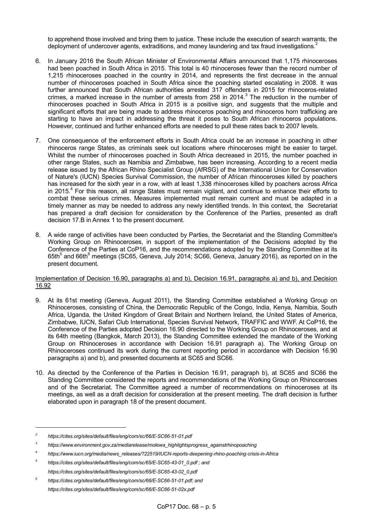to apprehend those involved and bring them to justice. These include the execution of search warrants, the deployment of undercover agents, extraditions, and money laundering and tax fraud investigations.<sup>2</sup>

- 6. In January 2016 the South African Minister of Environmental Affairs announced that 1,175 rhinoceroses had been poached in South Africa in 2015. This total is 40 rhinoceroses fewer than the record number of 1,215 rhinoceroses poached in the country in 2014, and represents the first decrease in the annual number of rhinoceroses poached in South Africa since the poaching started escalating in 2008. It was further announced that South African authorities arrested 317 offenders in 2015 for rhinoceros-related crimes, a marked increase in the number of arrests from 258 in 2014.<sup>3</sup> The reduction in the number of rhinoceroses poached in South Africa in 2015 is a positive sign, and suggests that the multiple and significant efforts that are being made to address rhinoceros poaching and rhinoceros horn trafficking are starting to have an impact in addressing the threat it poses to South African rhinoceros populations. However, continued and further enhanced efforts are needed to pull these rates back to 2007 levels.
- 7. One consequence of the enforcement efforts in South Africa could be an increase in poaching in other rhinoceros range States, as criminals seek out locations where rhinoceroses might be easier to target. Whilst the number of rhinoceroses poached in South Africa decreased in 2015, the number poached in other range States, such as Namibia and Zimbabwe, has been increasing. According to a recent media release issued by the African Rhino Specialist Group (AfRSG) of the International Union for Conservation of Nature's (IUCN) Species Survival Commission, the number of African rhinoceroses killed by poachers has increased for the sixth year in a row, with at least 1,338 rhinoceroses killed by poachers across Africa in 2015.<sup>4</sup> For this reason, all range States must remain vigilant, and continue to enhance their efforts to combat these serious crimes. Measures implemented must remain current and must be adapted in a timely manner as may be needed to address any newly identified trends. In this context, the Secretariat has prepared a draft decision for consideration by the Conference of the Parties, presented as draft decision 17.B in Annex 1 to the present document.
- 8. A wide range of activities have been conducted by Parties, the Secretariat and the Standing Committee's Working Group on Rhinoceroses, in support of the implementation of the Decisions adopted by the Conference of the Parties at CoP16, and the recommendations adopted by the Standing Committee at its 65th<sup>5</sup> and 66th<sup>6</sup> meetings (SC65, Geneva, July 2014; SC66, Geneva, January 2016), as reported on in the present document.

#### Implementation of Decision 16.90, paragraphs a) and b), Decision 16.91, paragraphs a) and b), and Decision 16.92

- 9. At its 61st meeting (Geneva, August 2011), the Standing Committee established a Working Group on Rhinoceroses, consisting of China, the Democratic Republic of the Congo, India, Kenya, Namibia, South Africa, Uganda, the United Kingdom of Great Britain and Northern Ireland, the United States of America, Zimbabwe, IUCN, Safari Club International, Species Survival Network, TRAFFIC and WWF. At CoP16, the Conference of the Parties adopted Decision 16.90 directed to the Working Group on Rhinoceroses, and at its 64th meeting (Bangkok, March 2013), the Standing Committee extended the mandate of the Working Group on Rhinoceroses in accordance with Decision 16.91 paragraph a). The Working Group on Rhinoceroses continued its work during the current reporting period in accordance with Decision 16.90 paragraphs a) and b), and presented documents at SC65 and SC66.
- 10. As directed by the Conference of the Parties in Decision 16.91, paragraph b), at SC65 and SC66 the Standing Committee considered the reports and recommendations of the Working Group on Rhinoceroses and of the Secretariat. The Committee agreed a number of recommendations on rhinoceroses at its meetings, as well as a draft decision for consideration at the present meeting. The draft decision is further elaborated upon in paragraph 18 of the present document.

*<sup>2</sup> https://cites.org/sites/default/files/eng/com/sc/66/E-SC66-51-01.pdf*

*<sup>3</sup> https://www.environment.gov.za/mediarelease/molewa\_highlightsprogress\_againstrhinopoaching*

*<sup>4</sup> https://www.iucn.org/media/news\_releases/?22519/IUCN-reports-deepening-rhino-poaching-crisis-in-Africa*

*<sup>5</sup> https://cites.org/sites/default/files/eng/com/sc/65/E-SC65-43-01\_0.pdf ; and https://cites.org/sites/default/files/eng/com/sc/65/E-SC65-43-02\_0.pdf*

*<sup>6</sup> https://cites.org/sites/default/files/eng/com/sc/66/E-SC66-51-01.pdf; and https://cites.org/sites/default/files/eng/com/sc/66/E-SC66-51-02x.pdf*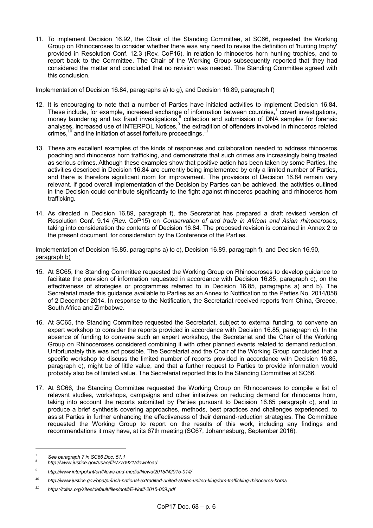11. To implement Decision 16.92, the Chair of the Standing Committee, at SC66, requested the Working Group on Rhinoceroses to consider whether there was any need to revise the definition of 'hunting trophy' provided in Resolution Conf. 12.3 (Rev. CoP16), in relation to rhinoceros horn hunting trophies, and to report back to the Committee. The Chair of the Working Group subsequently reported that they had considered the matter and concluded that no revision was needed. The Standing Committee agreed with this conclusion.

Implementation of Decision 16.84, paragraphs a) to g), and Decision 16.89, paragraph f)

- 12. It is encouraging to note that a number of Parties have initiated activities to implement Decision 16.84. These include, for example, increased exchange of information between countries,<sup>7</sup> covert investigations, money laundering and tax fraud investigations,<sup>8</sup> collection and submission of DNA samples for forensic analyses, increased use of INTERPOL Notices,<sup>9</sup> the extradition of offenders involved in rhinoceros related crimes, $^{10}$  and the initiation of asset forfeiture proceedings.<sup>11</sup>
- 13. These are excellent examples of the kinds of responses and collaboration needed to address rhinoceros poaching and rhinoceros horn trafficking, and demonstrate that such crimes are increasingly being treated as serious crimes. Although these examples show that positive action has been taken by some Parties, the activities described in Decision 16.84 are currently being implemented by only a limited number of Parties, and there is therefore significant room for improvement. The provisions of Decision 16.84 remain very relevant. If good overall implementation of the Decision by Parties can be achieved, the activities outlined in the Decision could contribute significantly to the fight against rhinoceros poaching and rhinoceros horn trafficking.
- 14. As directed in Decision 16.89, paragraph f), the Secretariat has prepared a draft revised version of Resolution Conf. 9.14 (Rev. CoP15) on *Conservation of and trade in African and Asian rhinoceroses*, taking into consideration the contents of Decision 16.84*.* The proposed revision is contained in Annex 2 to the present document, for consideration by the Conference of the Parties.

#### Implementation of Decision 16.85, paragraphs a) to c), Decision 16.89, paragraph f), and Decision 16.90, paragraph b)

- 15. At SC65, the Standing Committee requested the Working Group on Rhinoceroses to develop guidance to facilitate the provision of information requested in accordance with Decision 16.85, paragraph c), on the effectiveness of strategies or programmes referred to in Decision 16.85, paragraphs a) and b). The Secretariat made this guidance available to Parties as an Annex to Notification to the Parties No. 2014/058 of 2 December 2014. In response to the Notification, the Secretariat received reports from China, Greece, South Africa and Zimbabwe.
- 16. At SC65, the Standing Committee requested the Secretariat, subject to external funding, to convene an expert workshop to consider the reports provided in accordance with Decision 16.85, paragraph c). In the absence of funding to convene such an expert workshop, the Secretariat and the Chair of the Working Group on Rhinoceroses considered combining it with other planned events related to demand reduction. Unfortunately this was not possible. The Secretariat and the Chair of the Working Group concluded that a specific workshop to discuss the limited number of reports provided in accordance with Decision 16.85, paragraph c), might be of little value, and that a further request to Parties to provide information would probably also be of limited value. The Secretariat reported this to the Standing Committee at SC66.
- 17. At SC66, the Standing Committee requested the Working Group on Rhinoceroses to compile a list of relevant studies, workshops, campaigns and other initiatives on reducing demand for rhinoceros horn, taking into account the reports submitted by Parties pursuant to Decision 16.85 paragraph c), and to produce a brief synthesis covering approaches, methods, best practices and challenges experienced, to assist Parties in further enhancing the effectiveness of their demand-reduction strategies. The Committee requested the Working Group to report on the results of this work, including any findings and recommendations it may have, at its 67th meeting (SC67, Johannesburg, September 2016).

*<sup>7</sup> See paragraph 7 in SC66 Doc. 51.1*

<sup>8</sup> *http://www.justice.gov/usao/file/770921/download* 

*<sup>9</sup> http://www.interpol.int/en/News-and-media/News/2015/N2015-014/*

*<sup>10</sup> http://www.justice.gov/opa/pr/irish-national-extradited-united-states-united-kingdom-trafficking-rhinoceros-horns*

*<sup>11</sup> https://cites.org/sites/default/files/notif/E-Notif-2015-009.pdf*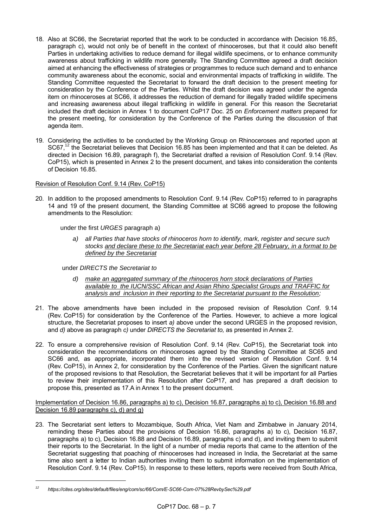- 18. Also at SC66, the Secretariat reported that the work to be conducted in accordance with Decision 16.85, paragraph c), would not only be of benefit in the context of rhinoceroses, but that it could also benefit Parties in undertaking activities to reduce demand for illegal wildlife specimens, or to enhance community awareness about trafficking in wildlife more generally. The Standing Committee agreed a draft decision aimed at enhancing the effectiveness of strategies or programmes to reduce such demand and to enhance community awareness about the economic, social and environmental impacts of trafficking in wildlife. The Standing Committee requested the Secretariat to forward the draft decision to the present meeting for consideration by the Conference of the Parties. Whilst the draft decision was agreed under the agenda item on rhinoceroses at SC66, it addresses the reduction of demand for illegally traded wildlife specimens and increasing awareness about illegal trafficking in wildlife in general. For this reason the Secretariat included the draft decision in Annex 1 to document CoP17 Doc. 25 on *Enforcement matters* prepared for the present meeting, for consideration by the Conference of the Parties during the discussion of that agenda item.
- 19. Considering the activities to be conducted by the Working Group on Rhinoceroses and reported upon at SC67.<sup>12</sup> the Secretariat believes that Decision 16.85 has been implemented and that it can be deleted. As directed in Decision 16.89, paragraph f), the Secretariat drafted a revision of Resolution Conf. 9.14 (Rev. CoP15), which is presented in Annex 2 to the present document, and takes into consideration the contents of Decision 16.85.

#### Revision of Resolution Conf. 9.14 (Rev. CoP15)

20. In addition to the proposed amendments to Resolution Conf. 9.14 (Rev. CoP15) referred to in paragraphs 14 and 19 of the present document, the Standing Committee at SC66 agreed to propose the following amendments to the Resolution:

under the first *URGES* paragraph a)

*a) all Parties that have stocks of rhinoceros horn to identify, mark, register and secure such stocks and declare these to the Secretariat each year before 28 February, in a format to be defined by the Secretariat* 

under *DIRECTS the Secretariat to*

- *d) make an aggregated summary of the rhinoceros horn stock declarations of Parties available to the IUCN/SSC African and Asian Rhino Specialist Groups and TRAFFIC for analysis and inclusion in their reporting to the Secretariat pursuant to the Resolution;*
- 21. The above amendments have been included in the proposed revision of Resolution Conf. 9.14 (Rev. CoP15) for consideration by the Conference of the Parties. However, to achieve a more logical structure, the Secretariat proposes to insert *a)* above under the second URGES in the proposed revision, and *d)* above as paragraph *c)* under *DIRECTS the Secretariat to,* as presented in Annex 2.
- 22. To ensure a comprehensive revision of Resolution Conf. 9.14 (Rev. CoP15), the Secretariat took into consideration the recommendations on rhinoceroses agreed by the Standing Committee at SC65 and SC66 and, as appropriate, incorporated them into the revised version of Resolution Conf. 9.14 (Rev. CoP15), in Annex 2, for consideration by the Conference of the Parties. Given the significant nature of the proposed revisions to that Resolution, the Secretariat believes that it will be important for all Parties to review their implementation of this Resolution after CoP17, and has prepared a draft decision to propose this, presented as 17.A in Annex 1 to the present document.

Implementation of Decision 16.86, paragraphs a) to c), Decision 16.87, paragraphs a) to c), Decision 16.88 and Decision 16.89 paragraphs c), d) and g)

23. The Secretariat sent letters to Mozambique, South Africa, Viet Nam and Zimbabwe in January 2014, reminding these Parties about the provisions of Decision 16.86, paragraphs a) to c), Decision 16.87, paragraphs a) to c), Decision 16.88 and Decision 16.89, paragraphs c) and d), and inviting them to submit their reports to the Secretariat. In the light of a number of media reports that came to the attention of the Secretariat suggesting that poaching of rhinoceroses had increased in India, the Secretariat at the same time also sent a letter to Indian authorities inviting them to submit information on the implementation of Resolution Conf. 9.14 (Rev. CoP15). In response to these letters, reports were received from South Africa,

*<sup>12</sup> https://cites.org/sites/default/files/eng/com/sc/66/Com/E-SC66-Com-07%28RevbySec%29.pdf*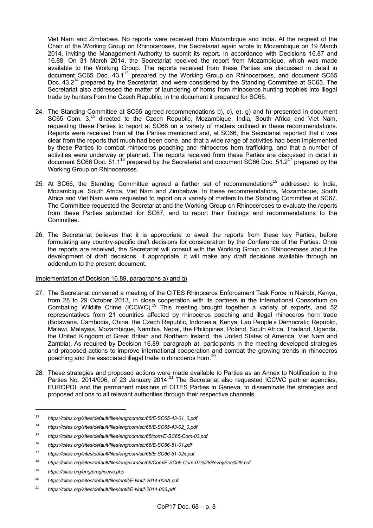Viet Nam and Zimbabwe. No reports were received from Mozambique and India. At the request of the Chair of the Working Group on Rhinoceroses, the Secretariat again wrote to Mozambique on 19 March 2014, inviting the Management Authority to submit its report, in accordance with Decisions 16.87 and 16.88. On 31 March 2014, the Secretariat received the report from Mozambique, which was made available to the Working Group. The reports received from these Parties are discussed in detail in document SC65 Doc.  $43.1^{13}$  prepared by the Working Group on Rhinoceroses, and document SC65 Doc. 43.2<sup>14</sup> prepared by the Secretariat, and were considered by the Standing Committee at SC65. The Secretariat also addressed the matter of laundering of horns from rhinoceros hunting trophies into illegal trade by hunters from the Czech Republic, in the document it prepared for SC65.

- 24. The Standing Committee at SC65 agreed recommendations b), c), e), g) and h) presented in document SC65 Com. 3,<sup>15</sup> directed to the Czech Republic, Mozambique, India, South Africa and Viet Nam, requesting these Parties to report at SC66 on a variety of matters outlined in these recommendations. Reports were received from all the Parties mentioned and, at SC66, the Secretariat reported that it was clear from the reports that much had been done, and that a wide range of activities had been implemented by these Parties to combat rhinoceros poaching and rhinoceros horn trafficking, and that a number of activities were underway or planned. The reports received from these Parties are discussed in detail in document SC66 Doc. 51.1<sup>16</sup> prepared by the Secretariat and document SC66 Doc. 51.2<sup>17</sup> prepared by the Working Group on Rhinoceroses.
- 25. At SC66, the Standing Committee agreed a further set of recommendations<sup>18</sup> addressed to India, Mozambique, South Africa, Viet Nam and Zimbabwe. In these recommendations, Mozambique, South Africa and Viet Nam were requested to report on a variety of matters to the Standing Committee at SC67. The Committee requested the Secretariat and the Working Group on Rhinoceroses to evaluate the reports from these Parties submitted for SC67, and to report their findings and recommendations to the Committee.
- 26. The Secretariat believes that it is appropriate to await the reports from these key Parties, before formulating any country-specific draft decisions for consideration by the Conference of the Parties. Once the reports are received, the Secretariat will consult with the Working Group on Rhinoceroses about the development of draft decisions. If appropriate, it will make any draft decisions available through an addendum to the present document.

#### Implementation of Decision 16.89, paragraphs a) and g)

- 27. The Secretariat convened a meeting of the CITES Rhinoceros Enforcement Task Force in Nairobi, Kenya, from 28 to 29 October 2013, in close cooperation with its partners in the International Consortium on Combating Wildlife Crime (ICCWC).<sup>19</sup> This meeting brought together a variety of experts, and 52 representatives from 21 countries affected by rhinoceros poaching and illegal rhinoceros horn trade (Botswana, Cambodia, China, the Czech Republic, Indonesia, Kenya, Lao People's Democratic Republic, Malawi, Malaysia, Mozambique, Namibia, Nepal, the Philippines, Poland, South Africa, Thailand, Uganda, the United Kingdom of Great Britain and Northern Ireland, the United States of America, Viet Nam and Zambia). As required by Decision 16.89, paragraph a), participants in the meeting developed strategies and proposed actions to improve international cooperation and combat the growing trends in rhinoceros poaching and the associated illegal trade in rhinoceros horn.<sup>2</sup>
- 28. These strategies and proposed actions were made available to Parties as an Annex to Notification to the Parties No. 2014/006, of 23 January 2014.<sup>21</sup> The Secretariat also requested ICCWC partner agencies, EUROPOL and the permanent missions of CITES Parties in Geneva, to disseminate the strategies and proposed actions to all relevant authorities through their respective channels.

-

*<sup>13</sup> https://cites.org/sites/default/files/eng/com/sc/65/E-SC65-43-01\_0.pdf*

*<sup>14</sup> https://cites.org/sites/default/files/eng/com/sc/65/E-SC65-43-02\_0.pdf*

*<sup>15</sup> https://cites.org/sites/default/files/eng/com/sc/65/com/E-SC65-Com-03.pdf*

*<sup>16</sup> https://cites.org/sites/default/files/eng/com/sc/66/E-SC66-51-01.pdf*

*<sup>17</sup> https://cites.org/sites/default/files/eng/com/sc/66/E-SC66-51-02x.pdf*

*<sup>18</sup> https://cites.org/sites/default/files/eng/com/sc/66/Com/E-SC66-Com-07%28RevbySec%29.pdf*

*<sup>19</sup> https://cites.org/eng/prog/iccwc.php*

*<sup>20</sup> https://cites.org/sites/default/files/notif/E-Notif-2014-006A.pdf*

*<sup>21</sup> https://cites.org/sites/default/files/notif/E-Notif-2014-006.pdf*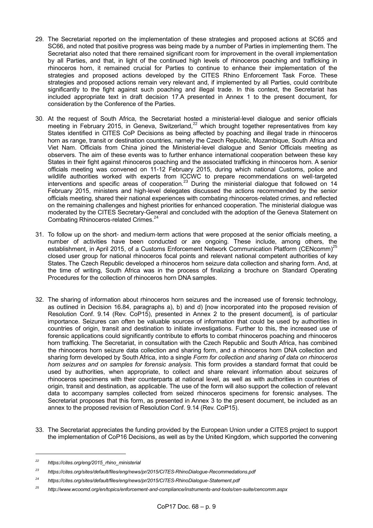- 29. The Secretariat reported on the implementation of these strategies and proposed actions at SC65 and SC66, and noted that positive progress was being made by a number of Parties in implementing them. The Secretariat also noted that there remained significant room for improvement in the overall implementation by all Parties, and that, in light of the continued high levels of rhinoceros poaching and trafficking in rhinoceros horn, it remained crucial for Parties to continue to enhance their implementation of the strategies and proposed actions developed by the CITES Rhino Enforcement Task Force. These strategies and proposed actions remain very relevant and, if implemented by all Parties, could contribute significantly to the fight against such poaching and illegal trade. In this context, the Secretariat has included appropriate text in draft decision 17.A presented in Annex 1 to the present document, for consideration by the Conference of the Parties.
- 30. At the request of South Africa, the Secretariat hosted a ministerial-level dialogue and senior officials meeting in February 2015, in Geneva, Switzerland,<sup>22</sup> which brought together representatives from key States identified in CITES CoP Decisions as being affected by poaching and illegal trade in rhinoceros horn as range, transit or destination countries, namely the Czech Republic, Mozambique, South Africa and Viet Nam. Officials from China joined the Ministerial-level dialogue and Senior Officials meeting as observers. The aim of these events was to further enhance international cooperation between these key States in their fight against rhinoceros poaching and the associated trafficking in rhinoceros horn. A senior officials meeting was convened on 11-12 February 2015, during which national Customs, police and wildlife authorities worked with experts from ICCWC to prepare recommendations on well-targeted interventions and specific areas of cooperation.<sup>23</sup> During the ministerial dialogue that followed on 14 February 2015, ministers and high-level delegates discussed the actions recommended by the senior officials meeting, shared their national experiences with combating rhinoceros-related crimes, and reflected on the remaining challenges and highest priorities for enhanced cooperation. The ministerial dialogue was moderated by the CITES Secretary-General and concluded with the adoption of the Geneva Statement on Combating Rhinoceros-related Crimes.<sup>24</sup>
- 31. To follow up on the short- and medium-term actions that were proposed at the senior officials meeting, a number of activities have been conducted or are ongoing. These include, among others, the establishment, in April 2015, of a Customs Enforcement Network Communication Platform (CENcomm)<sup>25</sup> closed user group for national rhinoceros focal points and relevant national competent authorities of key States. The Czech Republic developed a rhinoceros horn seizure data collection and sharing form. And, at the time of writing, South Africa was in the process of finalizing a brochure on Standard Operating Procedures for the collection of rhinoceros horn DNA samples.
- 32. The sharing of information about rhinoceros horn seizures and the increased use of forensic technology, as outlined in Decision 16.84, paragraphs a), b) and d) [now incorporated into the proposed revision of Resolution Conf. 9.14 (Rev. CoP15), presented in Annex 2 to the present document], is of particular importance. Seizures can often be valuable sources of information that could be used by authorities in countries of origin, transit and destination to initiate investigations. Further to this, the increased use of forensic applications could significantly contribute to efforts to combat rhinoceros poaching and rhinoceros horn trafficking. The Secretariat, in consultation with the Czech Republic and South Africa, has combined the rhinoceros horn seizure data collection and sharing form, and a rhinoceros horn DNA collection and sharing form developed by South Africa, into a single *Form for collection and sharing of data on rhinoceros horn seizures and on samples for forensic analysis.* This form provides a standard format that could be used by authorities, when appropriate, to collect and share relevant information about seizures of rhinoceros specimens with their counterparts at national level, as well as with authorities in countries of origin, transit and destination, as applicable. The use of the form will also support the collection of relevant data to accompany samples collected from seized rhinoceros specimens for forensic analyses. The Secretariat proposes that this form, as presented in Annex 3 to the present document, be included as an annex to the proposed revision of Resolution Conf. 9.14 (Rev. CoP15).
- 33. The Secretariat appreciates the funding provided by the European Union under a CITES project to support the implementation of CoP16 Decisions, as well as by the United Kingdom, which supported the convening

-

*<sup>22</sup> https://cites.org/eng/2015\_rhino\_ministerial*

*<sup>23</sup> https://cites.org/sites/default/files/eng/news/pr/2015/CITES-RhinoDialogue-Recommedations.pdf*

*<sup>24</sup> https://cites.org/sites/default/files/eng/news/pr/2015/CITES-RhinoDialogue-Statement.pdf*

*<sup>25</sup> http://www.wcoomd.org/en/topics/enforcement-and-compliance/instruments-and-tools/cen-suite/cencomm.aspx*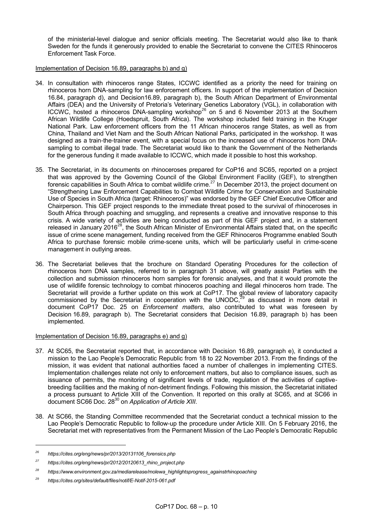of the ministerial-level dialogue and senior officials meeting. The Secretariat would also like to thank Sweden for the funds it generously provided to enable the Secretariat to convene the CITES Rhinoceros Enforcement Task Force.

#### Implementation of Decision 16.89, paragraphs b) and g)

- 34. In consultation with rhinoceros range States, ICCWC identified as a priority the need for training on rhinoceros horn DNA-sampling for law enforcement officers. In support of the implementation of Decision 16.84, paragraph d), and Decision16.89, paragraph b), the South African Department of Environmental Affairs (DEA) and the University of Pretoria's Veterinary Genetics Laboratory (VGL), in collaboration with ICCWC, hosted a rhinoceros DNA-sampling workshop<sup>26</sup> on 5 and 6 November 2013 at the Southern African Wildlife College (Hoedspruit, South Africa). The workshop included field training in the Kruger National Park. Law enforcement officers from the 11 African rhinoceros range States, as well as from China, Thailand and Viet Nam and the South African National Parks, participated in the workshop. It was designed as a train-the-trainer event, with a special focus on the increased use of rhinoceros horn DNAsampling to combat illegal trade. The Secretariat would like to thank the Government of the Netherlands for the generous funding it made available to ICCWC, which made it possible to host this workshop.
- 35. The Secretariat, in its documents on rhinoceroses prepared for CoP16 and SC65, reported on a project that was approved by the Governing Council of the Global Environment Facility (GEF), to strengthen forensic capabilities in South Africa to combat wildlife crime.<sup>27</sup> In December 2013, the project document on "Strengthening Law Enforcement Capabilities to Combat Wildlife Crime for Conservation and Sustainable Use of Species in South Africa (target: Rhinoceros)" was endorsed by the GEF Chief Executive Officer and Chairperson. This GEF project responds to the immediate threat posed to the survival of rhinoceroses in South Africa through poaching and smuggling, and represents a creative and innovative response to this crisis. A wide variety of activities are being conducted as part of this GEF project and, in a statement released in January 2016<sup>28</sup>, the South African Minister of Environmental Affairs stated that, on the specific issue of crime scene management, funding received from the GEF Rhinoceros Programme enabled South Africa to purchase forensic mobile crime-scene units, which will be particularly useful in crime-scene management in outlying areas.
- 36. The Secretariat believes that the brochure on Standard Operating Procedures for the collection of rhinoceros horn DNA samples, referred to in paragraph 31 above, will greatly assist Parties with the collection and submission rhinoceros horn samples for forensic analyses, and that it would promote the use of wildlife forensic technology to combat rhinoceros poaching and illegal rhinoceros horn trade. The Secretariat will provide a further update on this work at CoP17. The global review of laboratory capacity commissioned by the Secretariat in cooperation with the UNODC, $^{29}$  as discussed in more detail in document CoP17 Doc. 25 on *Enforcement matters*, also contributed to what was foreseen by Decision 16.89, paragraph b). The Secretariat considers that Decision 16.89, paragraph b) has been implemented.

#### Implementation of Decision 16.89, paragraphs e) and g)

- 37. At SC65, the Secretariat reported that, in accordance with Decision 16.89, paragraph e), it conducted a mission to the Lao People's Democratic Republic from 18 to 22 November 2013. From the findings of the mission, it was evident that national authorities faced a number of challenges in implementing CITES. Implementation challenges relate not only to enforcement matters, but also to compliance issues, such as issuance of permits, the monitoring of significant levels of trade, regulation of the activities of captivebreeding facilities and the making of non-detriment findings. Following this mission, the Secretariat initiated a process pursuant to Article XIII of the Convention. It reported on this orally at SC65, and at SC66 in document SC66 Doc. 28<sup>30</sup> on *Application of Article XIII*.
- 38. At SC66, the Standing Committee recommended that the Secretariat conduct a technical mission to the Lao People's Democratic Republic to follow-up the procedure under Article XIII. On 5 February 2016, the Secretariat met with representatives from the Permanent Mission of the Lao People's Democratic Republic

*<sup>26</sup> https://cites.org/eng/news/pr/2013/20131106\_forensics.php*

*<sup>27</sup> https://cites.org/eng/news/pr/2012/20120613\_rhino\_project.php*

*<sup>28</sup> https://www.environment.gov.za/mediarelease/molewa\_highlightsprogress\_againstrhinopoaching*

*<sup>29</sup> https://cites.org/sites/default/files/notif/E-Notif-2015-061.pdf*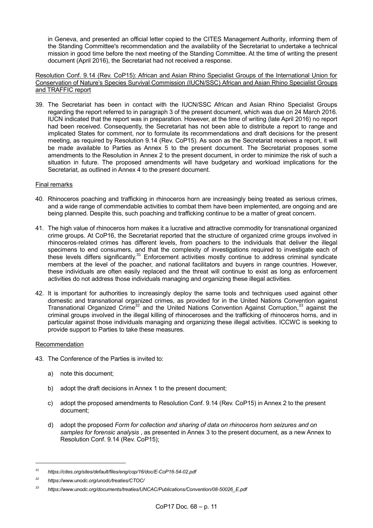in Geneva, and presented an official letter copied to the CITES Management Authority, informing them of the Standing Committee's recommendation and the availability of the Secretariat to undertake a technical mission in good time before the next meeting of the Standing Committee. At the time of writing the present document (April 2016), the Secretariat had not received a response.

Resolution Conf. 9.14 (Rev. CoP15): African and Asian Rhino Specialist Groups of the International Union for Conservation of Nature's Species Survival Commission (IUCN/SSC) African and Asian Rhino Specialist Groups and TRAFFIC report

39. The Secretariat has been in contact with the IUCN/SSC African and Asian Rhino Specialist Groups regarding the report referred to in paragraph 3 of the present document, which was due on 24 March 2016. IUCN indicated that the report was in preparation. However, at the time of writing (late April 2016) no report had been received. Consequently, the Secretariat has not been able to distribute a report to range and implicated States for comment, nor to formulate its recommendations and draft decisions for the present meeting, as required by Resolution 9.14 (Rev. CoP15). As soon as the Secretariat receives a report, it will be made available to Parties as Annex 5 to the present document. The Secretariat proposes some amendments to the Resolution in Annex 2 to the present document, in order to minimize the risk of such a situation in future. The proposed amendments will have budgetary and workload implications for the Secretariat, as outlined in Annex 4 to the present document.

#### Final remarks

- 40. Rhinoceros poaching and trafficking in rhinoceros horn are increasingly being treated as serious crimes, and a wide range of commendable activities to combat them have been implemented, are ongoing and are being planned. Despite this, such poaching and trafficking continue to be a matter of great concern.
- 41. The high value of rhinoceros horn makes it a lucrative and attractive commodity for transnational organized crime groups. At CoP16, the Secretariat reported that the structure of organized crime groups involved in rhinoceros-related crimes has different levels, from poachers to the individuals that deliver the illegal specimens to end consumers, and that the complexity of investigations required to investigate each of these levels differs significantly.<sup>31</sup> Enforcement activities mostly continue to address criminal syndicate members at the level of the poacher, and national facilitators and buyers in range countries. However, these individuals are often easily replaced and the threat will continue to exist as long as enforcement activities do not address those individuals managing and organizing these illegal activities.
- 42. It is important for authorities to increasingly deploy the same tools and techniques used against other domestic and transnational organized crimes, as provided for in the United Nations Convention against Transnational Organized Crime<sup>32</sup> and the United Nations Convention Against Corruption,<sup>33</sup> against the criminal groups involved in the illegal killing of rhinoceroses and the trafficking of rhinoceros horns, and in particular against those individuals managing and organizing these illegal activities. ICCWC is seeking to provide support to Parties to take these measures.

#### Recommendation

-

- 43. The Conference of the Parties is invited to:
	- a) note this document;
	- b) adopt the draft decisions in Annex 1 to the present document;
	- c) adopt the proposed amendments to Resolution Conf. 9.14 (Rev. CoP15) in Annex 2 to the present document;
	- d) adopt the proposed *Form for collection and sharing of data on rhinoceros horn seizures and on samples for forensic analysis* , as presented in Annex 3 to the present document, as a new Annex to Resolution Conf. 9.14 (Rev. CoP15);

*<sup>31</sup> https://cites.org/sites/default/files/eng/cop/16/doc/E-CoP16-54-02.pdf*

*<sup>32</sup> https://www.unodc.org/unodc/treaties/CTOC/*

*<sup>33</sup> https://www.unodc.org/documents/treaties/UNCAC/Publications/Convention/08-50026\_E.pdf*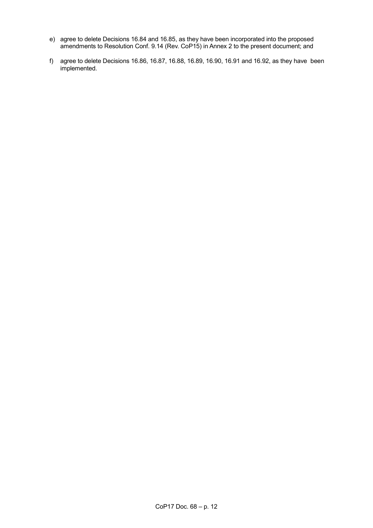- e) agree to delete Decisions 16.84 and 16.85, as they have been incorporated into the proposed amendments to Resolution Conf. 9.14 (Rev. CoP15) in Annex 2 to the present document; and
- f) agree to delete Decisions 16.86, 16.87, 16.88, 16.89, 16.90, 16.91 and 16.92, as they have been implemented.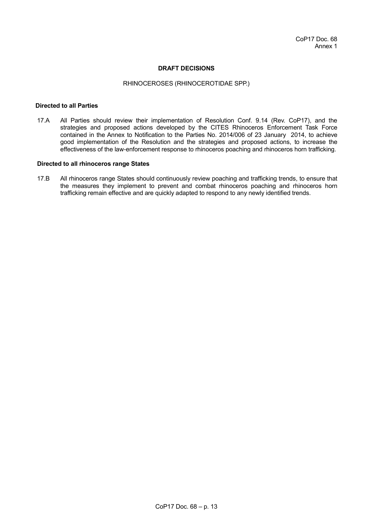#### **DRAFT DECISIONS**

#### RHINOCEROSES (RHINOCEROTIDAE SPP.)

#### **Directed to all Parties**

17.A All Parties should review their implementation of Resolution Conf. 9.14 (Rev. CoP17), and the strategies and proposed actions developed by the CITES Rhinoceros Enforcement Task Force contained in the Annex to Notification to the Parties No. 2014/006 of 23 January 2014, to achieve good implementation of the Resolution and the strategies and proposed actions, to increase the effectiveness of the law-enforcement response to rhinoceros poaching and rhinoceros horn trafficking.

#### **Directed to all rhinoceros range States**

17.B All rhinoceros range States should continuously review poaching and trafficking trends, to ensure that the measures they implement to prevent and combat rhinoceros poaching and rhinoceros horn trafficking remain effective and are quickly adapted to respond to any newly identified trends.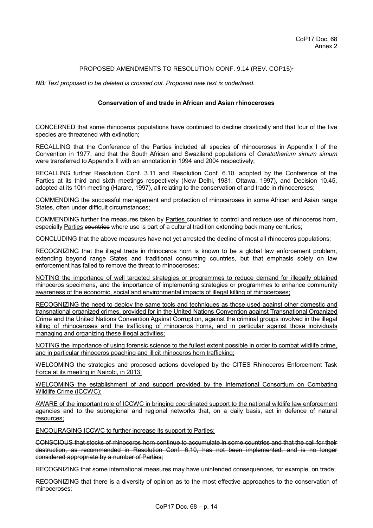#### PROPOSED AMENDMENTS TO RESOLUTION CONF. 9.14 (REV. COP15)\*

*NB: Text proposed to be deleted is crossed out. Proposed new text is underlined.*

#### **Conservation of and trade in African and Asian rhinoceroses**

CONCERNED that some rhinoceros populations have continued to decline drastically and that four of the five species are threatened with extinction;

RECALLING that the Conference of the Parties included all species of rhinoceroses in Appendix I of the Convention in 1977, and that the South African and Swaziland populations of *Ceratotherium simum simum*  were transferred to Appendix II with an annotation in 1994 and 2004 respectively;

RECALLING further Resolution Conf. 3.11 and Resolution Conf. 6.10, adopted by the Conference of the Parties at its third and sixth meetings respectively (New Delhi, 1981; Ottawa, 1997), and Decision 10.45, adopted at its 10th meeting (Harare, 1997), all relating to the conservation of and trade in rhinoceroses;

COMMENDING the successful management and protection of rhinoceroses in some African and Asian range States, often under difficult circumstances;

COMMENDING further the measures taken by Parties countries to control and reduce use of rhinoceros horn, especially Parties countries where use is part of a cultural tradition extending back many centuries;

CONCLUDING that the above measures have not yet arrested the decline of most all rhinoceros populations;

RECOGNIZING that the illegal trade in rhinoceros horn is known to be a global law enforcement problem, extending beyond range States and traditional consuming countries, but that emphasis solely on law enforcement has failed to remove the threat to rhinoceroses;

NOTING the importance of well targeted strategies or programmes to reduce demand for illegally obtained rhinoceros specimens, and the importance of implementing strategies or programmes to enhance community awareness of the economic, social and environmental impacts of illegal killing of rhinoceroses;

RECOGNIZING the need to deploy the same tools and techniques as those used against other domestic and transnational organized crimes, provided for in the United Nations Convention against Transnational Organized Crime and the United Nations Convention Against Corruption, against the criminal groups involved in the illegal killing of rhinoceroses and the trafficking of rhinoceros horns, and in particular against those individuals managing and organizing these illegal activities;

NOTING the importance of using forensic science to the fullest extent possible in order to combat wildlife crime, and in particular rhinoceros poaching and illicit rhinoceros horn trafficking;

WELCOMING the strategies and proposed actions developed by the CITES Rhinoceros Enforcement Task Force at its meeting in Nairobi, in 2013;

WELCOMING the establishment of and support provided by the International Consortium on Combating Wildlife Crime (ICCWC);

AWARE of the important role of ICCWC in bringing coordinated support to the national wildlife law enforcement agencies and to the subregional and regional networks that, on a daily basis, act in defence of natural resources;

ENCOURAGING ICCWC to further increase its support to Parties;

CONSCIOUS that stocks of rhinoceros horn continue to accumulate in some countries and that the call for their destruction, as recommended in Resolution Conf. 6.10, has not been implemented, and is no longer considered appropriate by a number of Parties;

RECOGNIZING that some international measures may have unintended consequences, for example, on trade;

RECOGNIZING that there is a diversity of opinion as to the most effective approaches to the conservation of rhinoceroses;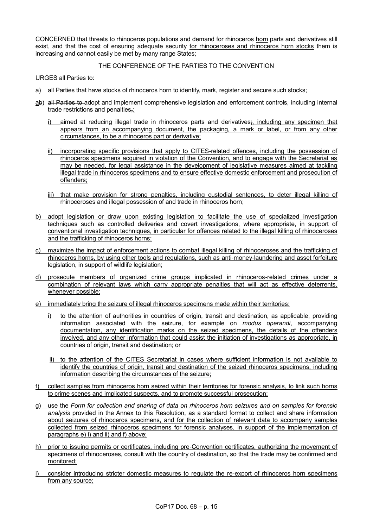CONCERNED that threats to rhinoceros populations and demand for rhinoceros horn parts and derivatives still exist, and that the cost of ensuring adequate security for rhinoceroses and rhinoceros horn stocks them is increasing and cannot easily be met by many range States;

THE CONFERENCE OF THE PARTIES TO THE CONVENTION

URGES all Parties to:

- a) all Parties that have stocks of rhinoceros horn to identify, mark, register and secure such stocks;
- ab) all Parties to adopt and implement comprehensive legislation and enforcement controls, including internal trade restrictions and penalties,:
	- i) aimed at reducing illegal trade in rhinoceros parts and derivatives; including any specimen that appears from an accompanying document, the packaging, a mark or label, or from any other circumstances, to be a rhinoceros part or derivative;
	- ii) incorporating specific provisions that apply to CITES-related offences, including the possession of rhinoceros specimens acquired in violation of the Convention, and to engage with the Secretariat as may be needed, for legal assistance in the development of legislative measures aimed at tackling illegal trade in rhinoceros specimens and to ensure effective domestic enforcement and prosecution of offenders;
	- iii) that make provision for strong penalties, including custodial sentences, to deter illegal killing of rhinoceroses and illegal possession of and trade in rhinoceros horn;
- b) adopt legislation or draw upon existing legislation to facilitate the use of specialized investigation techniques such as controlled deliveries and covert investigations, where appropriate, in support of conventional investigation techniques, in particular for offences related to the illegal killing of rhinoceroses and the trafficking of rhinoceros horns;
- c) maximize the impact of enforcement actions to combat illegal killing of rhinoceroses and the trafficking of rhinoceros horns, by using other tools and regulations, such as anti-money-laundering and asset forfeiture legislation, in support of wildlife legislation;
- d) prosecute members of organized crime groups implicated in rhinoceros-related crimes under a combination of relevant laws which carry appropriate penalties that will act as effective deterrents, whenever possible;
- e) immediately bring the seizure of illegal rhinoceros specimens made within their territories:
	- i) to the attention of authorities in countries of origin, transit and destination, as applicable, providing information associated with the seizure, for example on *modus operandi*, accompanying documentation, any identification marks on the seized specimens, the details of the offenders involved, and any other information that could assist the initiation of investigations as appropriate, in countries of origin, transit and destination; or
	- ii) to the attention of the CITES Secretariat in cases where sufficient information is not available to identify the countries of origin, transit and destination of the seized rhinoceros specimens, including information describing the circumstances of the seizure;
- f) collect samples from rhinoceros horn seized within their territories for forensic analysis, to link such horns to crime scenes and implicated suspects, and to promote successful prosecution;
- g) use the *Form for collection and sharing of data on rhinoceros horn seizures and on samples for forensic analysis* provided in the Annex to this Resolution, as a standard format to collect and share information about seizures of rhinoceros specimens, and for the collection of relevant data to accompany samples collected from seized rhinoceros specimens for forensic analyses, in support of the implementation of paragraphs e) i) and ii) and f) above;
- h) prior to issuing permits or certificates, including pre-Convention certificates, authorizing the movement of specimens of rhinoceroses, consult with the country of destination, so that the trade may be confirmed and monitored;
- i) consider introducing stricter domestic measures to regulate the re-export of rhinoceros horn specimens from any source;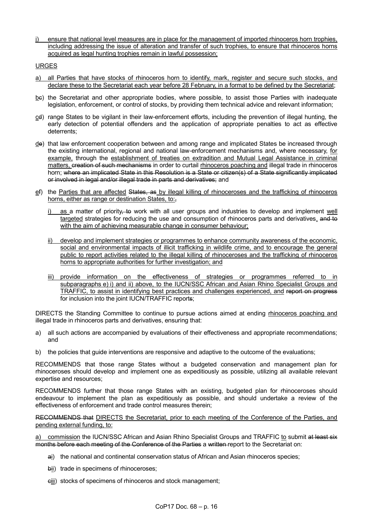j) ensure that national level measures are in place for the management of imported rhinoceros horn trophies, including addressing the issue of alteration and transfer of such trophies, to ensure that rhinoceros horns acquired as legal hunting trophies remain in lawful possession;

URGES

- a) all Parties that have stocks of rhinoceros horn to identify, mark, register and secure such stocks, and declare these to the Secretariat each year before 28 February, in a format to be defined by the Secretariat;
- be) the Secretariat and other appropriate bodies, where possible, to assist those Parties with inadequate legislation, enforcement, or control of stocks, by providing them technical advice and relevant information;
- cd) range States to be vigilant in their law-enforcement efforts, including the prevention of illegal hunting, the early detection of potential offenders and the application of appropriate penalties to act as effective deterrents;
- de) that law enforcement cooperation between and among range and implicated States be increased through the existing international, regional and national law-enforcement mechanisms and, where necessary, for example, through the establishment of treaties on extradition and Mutual Legal Assistance in criminal matters, creation of such mechanisms in order to curtail rhinoceros poaching and illegal trade in rhinoceros horn; where an implicated State in this Resolution is a State or citizen(s) of a State significantly implicated or involved in legal and/or illegal trade in parts and derivatives; and
- ef) the Parties that are affected States, as by illegal killing of rhinoceroses and the trafficking of rhinoceros horns, either as range or destination States, to:,
	- i) as a matter of priority–to work with all user groups and industries to develop and implement well targeted strategies for reducing the use and consumption of rhinoceros parts and derivatives, and to with the aim of achieving measurable change in consumer behaviour;
	- ii) develop and implement strategies or programmes to enhance community awareness of the economic, social and environmental impacts of illicit trafficking in wildlife crime, and to encourage the general public to report activities related to the illegal killing of rhinoceroses and the trafficking of rhinoceros horns to appropriate authorities for further investigation; and
	- iii) provide information on the effectiveness of strategies or programmes referred to in subparagraphs e) i) and ii) above, to the IUCN/SSC African and Asian Rhino Specialist Groups and TRAFFIC, to assist in identifying best practices and challenges experienced, and report on progress for inclusion into the joint IUCN/TRAFFIC reports;

DIRECTS the Standing Committee to continue to pursue actions aimed at ending rhinoceros poaching and illegal trade in rhinoceros parts and derivatives, ensuring that:

- a) all such actions are accompanied by evaluations of their effectiveness and appropriate recommendations; and
- b) the policies that guide interventions are responsive and adaptive to the outcome of the evaluations;

RECOMMENDS that those range States without a budgeted conservation and management plan for rhinoceroses should develop and implement one as expeditiously as possible, utilizing all available relevant expertise and resources;

RECOMMENDS further that those range States with an existing, budgeted plan for rhinoceroses should endeavour to implement the plan as expeditiously as possible, and should undertake a review of the effectiveness of enforcement and trade control measures therein;

RECOMMENDS that DIRECTS the Secretariat, prior to each meeting of the Conference of the Parties, and pending external funding, to:

a) commission the IUCN/SSC African and Asian Rhino Specialist Groups and TRAFFIC to submit at least six months before each meeting of the Conference of the Parties a written report to the Secretariat on:

- ai) the national and continental conservation status of African and Asian rhinoceros species;
- bii) trade in specimens of rhinoceroses;
- ciii) stocks of specimens of rhinoceros and stock management;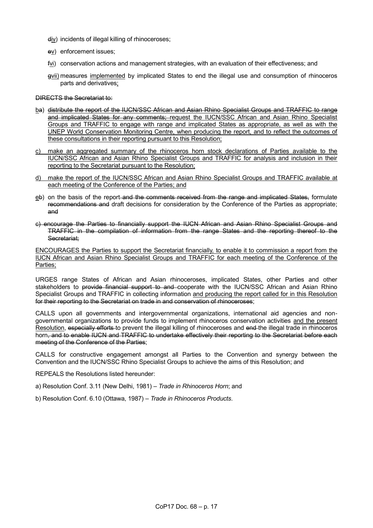- div) incidents of illegal killing of rhinoceroses;
- ev) enforcement issues;
- fvi) conservation actions and management strategies, with an evaluation of their effectiveness; and
- gvii) measures implemented by implicated States to end the illegal use and consumption of rhinoceros parts and derivatives;

DIRECTS the Secretariat to:

- ba) distribute the report of the IUCN/SSC African and Asian Rhino Specialist Groups and TRAFFIC to range and implicated States for any comments; request the IUCN/SSC African and Asian Rhino Specialist Groups and TRAFFIC to engage with range and implicated States as appropriate, as well as with the UNEP World Conservation Monitoring Centre, when producing the report, and to reflect the outcomes of these consultations in their reporting pursuant to this Resolution;
- c) make an aggregated summary of the rhinoceros horn stock declarations of Parties available to the IUCN/SSC African and Asian Rhino Specialist Groups and TRAFFIC for analysis and inclusion in their reporting to the Secretariat pursuant to the Resolution;
- d) make the report of the IUCN/SSC African and Asian Rhino Specialist Groups and TRAFFIC available at each meeting of the Conference of the Parties; and
- eb) on the basis of the report-and the comments received from the range and implicated States, formulate recommendations and draft decisions for consideration by the Conference of the Parties as appropriate; and
- c) encourage the Parties to financially support the IUCN African and Asian Rhino Specialist Groups and TRAFFIC in the compilation of information from the range States and the reporting thereof to the Secretariat;

ENCOURAGES the Parties to support the Secretariat financially, to enable it to commission a report from the IUCN African and Asian Rhino Specialist Groups and TRAFFIC for each meeting of the Conference of the Parties;

URGES range States of African and Asian rhinoceroses, implicated States, other Parties and other stakeholders to provide financial support to and cooperate with the IUCN/SSC African and Asian Rhino Specialist Groups and TRAFFIC in collecting information and producing the report called for in this Resolution for their reporting to the Secretariat on trade in and conservation of rhinoceroses;

CALLS upon all governments and intergovernmental organizations, international aid agencies and nongovernmental organizations to provide funds to implement rhinoceros conservation activities and the present Resolution, especially efforts to prevent the illegal killing of rhinoceroses and end the illegal trade in rhinoceros horn, and to enable IUCN and TRAFFIC to undertake effectively their reporting to the Secretariat before each meeting of the Conference of the Parties;

CALLS for constructive engagement amongst all Parties to the Convention and synergy between the Convention and the IUCN/SSC Rhino Specialist Groups to achieve the aims of this Resolution; and

REPEALS the Resolutions listed hereunder:

a) Resolution Conf. 3.11 (New Delhi, 1981) – *Trade in Rhinoceros Horn*; and

b) Resolution Conf. 6.10 (Ottawa, 1987) – *Trade in Rhinoceros Products*.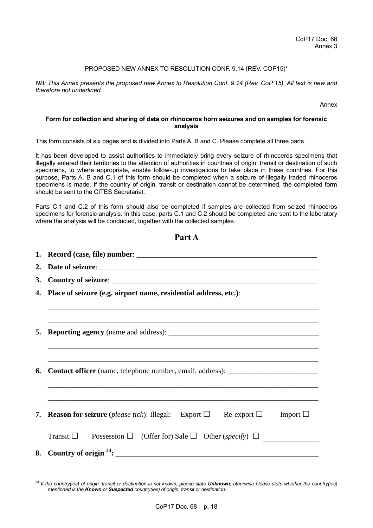#### PROPOSED NEW ANNEX TO RESOLUTION CONF. 9.14 (REV. COP15)\*

*NB: This Annex presents the proposed new Annex to Resolution Conf. 9.14 (Rev. CoP 15). All text is new and therefore not underlined.*

Annex

#### **Form for collection and sharing of data on rhinoceros horn seizures and on samples for forensic analysis**

This form consists of six pages and is divided into Parts A, B and C. Please complete all three parts.

It has been developed to assist authorities to immediately bring every seizure of rhinoceros specimens that illegally entered their territories to the attention of authorities in countries of origin, transit or destination of such specimens, to where appropriate, enable follow-up investigations to take place in these countries. For this purpose, Parts A, B and C.1 of this form should be completed when a seizure of illegally traded rhinoceros specimens is made. If the country of origin, transit or destination cannot be determined, the completed form should be sent to the CITES Secretariat.

Parts C.1 and C.2 of this form should also be completed if samples are collected from seized rhinoceros specimens for forensic analysis. In this case, parts C.1 and C.2 should be completed and sent to the laboratory where the analysis will be conducted, together with the collected samples.

**Part A** 

|                                                                     | 1 ai t <i>r</i> i                                                                                             |  |  |
|---------------------------------------------------------------------|---------------------------------------------------------------------------------------------------------------|--|--|
|                                                                     |                                                                                                               |  |  |
|                                                                     |                                                                                                               |  |  |
| <b>3.</b>                                                           |                                                                                                               |  |  |
| 4. Place of seizure (e.g. airport name, residential address, etc.): |                                                                                                               |  |  |
|                                                                     |                                                                                                               |  |  |
|                                                                     |                                                                                                               |  |  |
| 5.                                                                  |                                                                                                               |  |  |
|                                                                     | ,我们也不能在这里的时候,我们也不能在这里的时候,我们也不能会在这里的时候,我们也不能会在这里的时候,我们也不能会在这里的时候,我们也不能会在这里的时候,我们也不                             |  |  |
|                                                                     |                                                                                                               |  |  |
| 6.                                                                  |                                                                                                               |  |  |
|                                                                     |                                                                                                               |  |  |
|                                                                     |                                                                                                               |  |  |
|                                                                     | <b>7.</b> Reason for seizure ( <i>please tick</i> ): Illegal: Export $\Box$ Re-export $\Box$<br>Import $\Box$ |  |  |
|                                                                     | Transit $\square$<br>Possession $\Box$ (Offer for) Sale $\Box$ Other (specify) $\Box$                         |  |  |
|                                                                     |                                                                                                               |  |  |
|                                                                     |                                                                                                               |  |  |

-

*<sup>34</sup> If the country(ies) of origin, transit or destination is not known, please state Unknown, otherwise please state whether the country(ies) mentioned is the Known or Suspected country(ies) of origin, transit or destination.*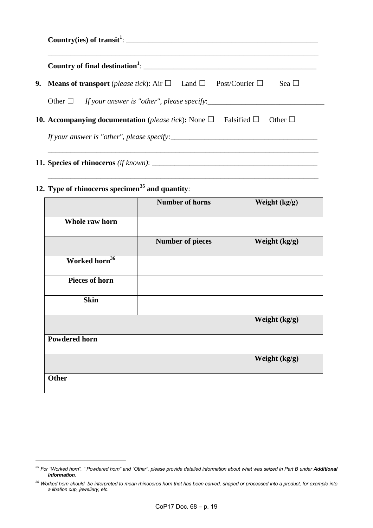| Country of final destination <sup>1</sup> : $\qquad \qquad$                                     |
|-------------------------------------------------------------------------------------------------|
| <b>9.</b> Means of transport (please tick): Air $\Box$ Land $\Box$ Post/Courier $\Box$<br>Sea L |
|                                                                                                 |
| <b>10. Accompanying documentation</b> (please tick): None $\Box$ Falsified $\Box$ Other $\Box$  |

**\_\_\_\_\_\_\_\_\_\_\_\_\_\_\_\_\_\_\_\_\_\_\_\_\_\_\_\_\_\_\_\_\_\_\_\_\_\_\_\_\_\_\_\_\_\_\_\_\_\_\_\_\_\_\_\_\_\_\_\_\_\_\_\_\_\_\_\_\_\_\_\_**

**11. Species of rhinoceros** *(if known)*: \_\_\_\_\_\_\_\_\_\_\_\_\_\_\_\_\_\_\_\_\_\_\_\_\_\_\_\_\_\_\_\_\_\_\_\_\_\_\_\_\_\_\_\_

-

# **12. Type of rhinoceros specimen<sup>35</sup> and quantity**:

|                           | <b>Number of horns</b>  | Weight (kg/g) |
|---------------------------|-------------------------|---------------|
| Whole raw horn            |                         |               |
|                           | <b>Number of pieces</b> | Weight (kg/g) |
| Worked horn <sup>36</sup> |                         |               |
| <b>Pieces of horn</b>     |                         |               |
| <b>Skin</b>               |                         |               |
|                           |                         | Weight (kg/g) |
| <b>Powdered horn</b>      |                         |               |
|                           |                         | Weight (kg/g) |
| <b>Other</b>              |                         |               |

<sup>&</sup>lt;sup>35</sup> For "Worked horn", " Powdered horn" and "Other", please provide detailed information about what was seized in Part B under Additional *information.*

*<sup>36</sup> Worked horn should be interpreted to mean rhinoceros horn that has been carved, shaped or processed into a product, for example into a libation cup, jewellery, etc.*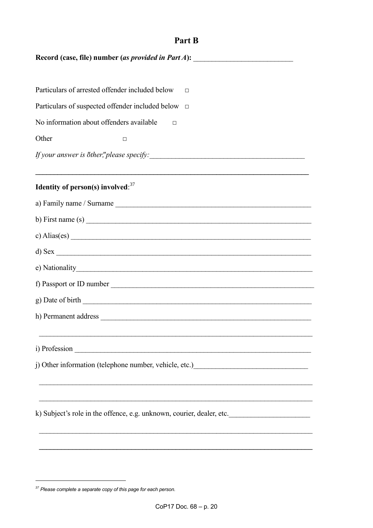| Part B                                                                                                                                      |  |  |
|---------------------------------------------------------------------------------------------------------------------------------------------|--|--|
| Record (case, file) number (as provided in Part A):<br><u> 1986 - Jan Barbara, manazarta bashkar a shekara 1980 - André Santa Barbara (</u> |  |  |
|                                                                                                                                             |  |  |
| Particulars of arrested offender included below<br>П                                                                                        |  |  |
| Particulars of suspected offender included below<br>$\Box$                                                                                  |  |  |
| No information about offenders available<br>$\Box$                                                                                          |  |  |
| Other<br>□                                                                                                                                  |  |  |
|                                                                                                                                             |  |  |
| Identity of person(s) involved: $37$                                                                                                        |  |  |
|                                                                                                                                             |  |  |
| b) First name (s) $\overline{\phantom{a}}$                                                                                                  |  |  |
| c) Alias(es) $\overline{\phantom{a}}$                                                                                                       |  |  |
| $d)$ Sex $\overline{\phantom{a}}$                                                                                                           |  |  |
|                                                                                                                                             |  |  |
| f) Passport or ID number                                                                                                                    |  |  |
|                                                                                                                                             |  |  |
|                                                                                                                                             |  |  |
|                                                                                                                                             |  |  |
|                                                                                                                                             |  |  |
|                                                                                                                                             |  |  |
|                                                                                                                                             |  |  |
| k) Subject's role in the offence, e.g. unknown, courier, dealer, etc.                                                                       |  |  |
|                                                                                                                                             |  |  |
|                                                                                                                                             |  |  |

<sup>&</sup>lt;sup>37</sup> Please complete a separate copy of this page for each person.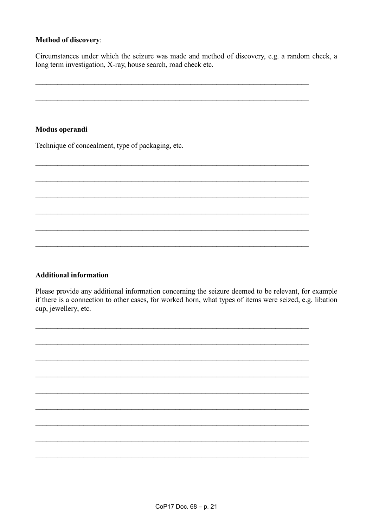#### **Method of discovery:**

Circumstances under which the seizure was made and method of discovery, e.g. a random check, a long term investigation, X-ray, house search, road check etc.

#### Modus operandi

Technique of concealment, type of packaging, etc.

#### **Additional information**

Please provide any additional information concerning the seizure deemed to be relevant, for example if there is a connection to other cases, for worked horn, what types of items were seized, e.g. libation cup, jewellery, etc.

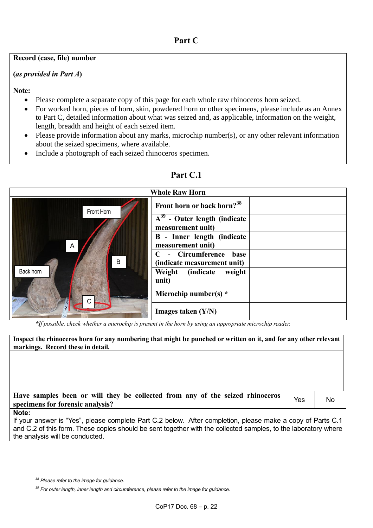### **Part C**

| Record (case, file) number |  |
|----------------------------|--|
| (as provided in Part $A$ ) |  |
| Note:                      |  |

- Please complete a separate copy of this page for each whole raw rhinoceros horn seized.
- For worked horn, pieces of horn, skin, powdered horn or other specimens, please include as an Annex to Part C, detailed information about what was seized and, as applicable, information on the weight, length, breadth and height of each seized item.
- Please provide information about any marks, microchip number(s), or any other relevant information about the seized specimens, where available.
- Include a photograph of each seized rhinoceros specimen.

# **Part C.1**

|                | <b>Whole Raw Horn</b>                                  |
|----------------|--------------------------------------------------------|
| Front Horn     | Front horn or back horn? <sup>38</sup>                 |
|                | $A^{39}$ - Outer length (indicate<br>measurement unit) |
| $\overline{A}$ | <b>B</b> - Inner length (indicate<br>measurement unit) |
| B              | - Circumference<br>base<br>(indicate measurement unit) |
| Back horn      | Weight (indicate<br>weight<br>unit)                    |
| C.<br>ê,       | Microchip number(s) $*$                                |
|                | Images taken $(Y/N)$                                   |

*\*If possible, check whether a microchip is present in the horn by using an appropriate microchip reader.*

**Inspect the rhinoceros horn for any numbering that might be punched or written on it, and for any other relevant markings. Record these in detail.**

**Have samples been or will they be collected from any of the seized rhinoceros**  specimens for forensic analysis?<br>No specimens for forensic analysis?

#### **Note:**

1

If your answer is "Yes", please complete Part C.2 below. After completion, please make a copy of Parts C.1 and C.2 of this form. These copies should be sent together with the collected samples, to the laboratory where the analysis will be conducted.

*<sup>38</sup> Please refer to the image for guidance.*

*<sup>39</sup> For outer length, inner length and circumference, please refer to the image for guidance.*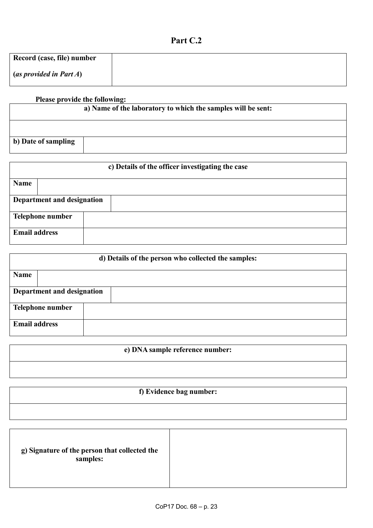## **Part C.2**

| Record (case, file) number |  |
|----------------------------|--|
| (as provided in Part A)    |  |

# **Please provide the following: a) Name of the laboratory to which the samples will be sent: b) Date of sampling**

| c) Details of the officer investigating the case |  |  |
|--------------------------------------------------|--|--|
| <b>Name</b>                                      |  |  |
| Department and designation                       |  |  |
| <b>Telephone number</b>                          |  |  |
| <b>Email address</b>                             |  |  |

|                            | d) Details of the person who collected the samples: |
|----------------------------|-----------------------------------------------------|
| <b>Name</b>                |                                                     |
| Department and designation |                                                     |
| Telephone number           |                                                     |
| <b>Email address</b>       |                                                     |

# **e) DNA sample reference number:**

## **f) Evidence bag number:**

| g) Signature of the person that collected the<br>samples: |
|-----------------------------------------------------------|
|-----------------------------------------------------------|